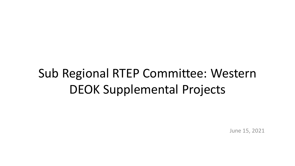# Sub Regional RTEP Committee: Western DEOK Supplemental Projects

June 15, 2021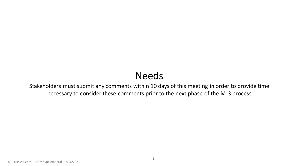# Needs

Stakeholders must submit any comments within 10 days of this meeting in order to provide time necessary to consider these comments prior to the next phase of the M-3 process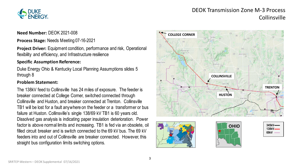

## DEOK Transmission Zone M-3 Process Collinsville

**Need Number:** DEOK 2021-008

**Process Stage:** Needs Meeting 07-16-2021

**Project Driver:** Equipment condition, performance and risk, Operational flexibility and efficiency, and Infrastructure resilience

#### **Specific Assumption Reference:**

Duke Energy Ohio & Kentucky Local Planning Assumptions slides 5 through 8

#### **Problem Statement:**

The 138kV feed to Collinsville has 24 miles of exposure. The feeder is breaker connected at College Corner, switched connected through Collinsville and Huston, and breaker connected at Trenton. Collinsville TB1 will be lost for a fault anywhere on the feeder or a transformer or bus failure at Huston. Collinsville's single 138/69 kV TB1 is 60 years old. Dissolved gas analysis is indicating paper insulation deterioration. Power factor is above normal limits and increasing. TB1 is fed via an obsolete, oil filled circuit breaker and is switch connected to the 69 kV bus. The 69 kV feeders into and out of Collinsville are breaker connected. However, this straight bus configuration limits switching options.

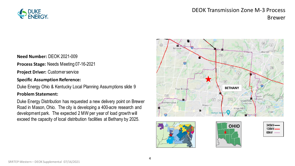

### DEOK Transmission Zone M-3 Process Brewer

**Need Number:** DEOK 2021-009

**Process Stage:** Needs Meeting 07-16-2021

**Project Driver:** Customer service

#### **Specific Assumption Reference:**

Duke Energy Ohio & Kentucky Local Planning Assumptions slide 9

#### **Problem Statement:**

Duke Energy Distribution has requested a new delivery point on Brewer Road in Mason, Ohio. The city is developing a 400-acre research and development park. The expected 2 MW per year of load growth will exceed the capacity of local distribution facilities at Bethany by 2025.

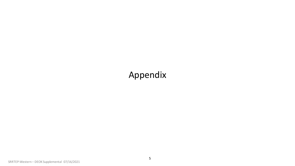# Appendix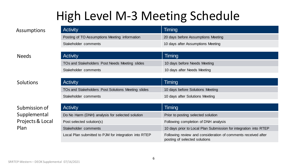# High Level M-3 Meeting Schedule

| <b>Activity</b>                               | Timing                             |
|-----------------------------------------------|------------------------------------|
| Posting of TO Assumptions Meeting information | 20 days before Assumptions Meeting |
| Stakeholder comments                          | 10 days after Assumptions Meeting  |

#### Needs

### Solutions

### Submission of Supplemental Projects & Local Plan

| <b>Activity</b>                                | Timing                       |
|------------------------------------------------|------------------------------|
| TOs and Stakeholders Post Needs Meeting slides | 10 days before Needs Meeting |
| Stakeholder comments                           | 10 days after Needs Meeting  |
|                                                |                              |

| Activity                                           | Timing                           |
|----------------------------------------------------|----------------------------------|
| TOs and Stakeholders Post Solutions Meeting slides | 10 days before Solutions Meeting |
| Stakeholder comments                               | 10 days after Solutions Meeting  |

| <b>Activity</b>                                       | Timing                                                                                         |
|-------------------------------------------------------|------------------------------------------------------------------------------------------------|
| Do No Harm (DNH) analysis for selected solution       | Prior to posting selected solution                                                             |
| Post selected solution(s)                             | Following completion of DNH analysis                                                           |
| Stakeholder comments                                  | 10 days prior to Local Plan Submission for integration into RTEP                               |
| Local Plan submitted to PJM for integration into RTEP | Following review and consideration of comments received after<br>posting of selected solutions |